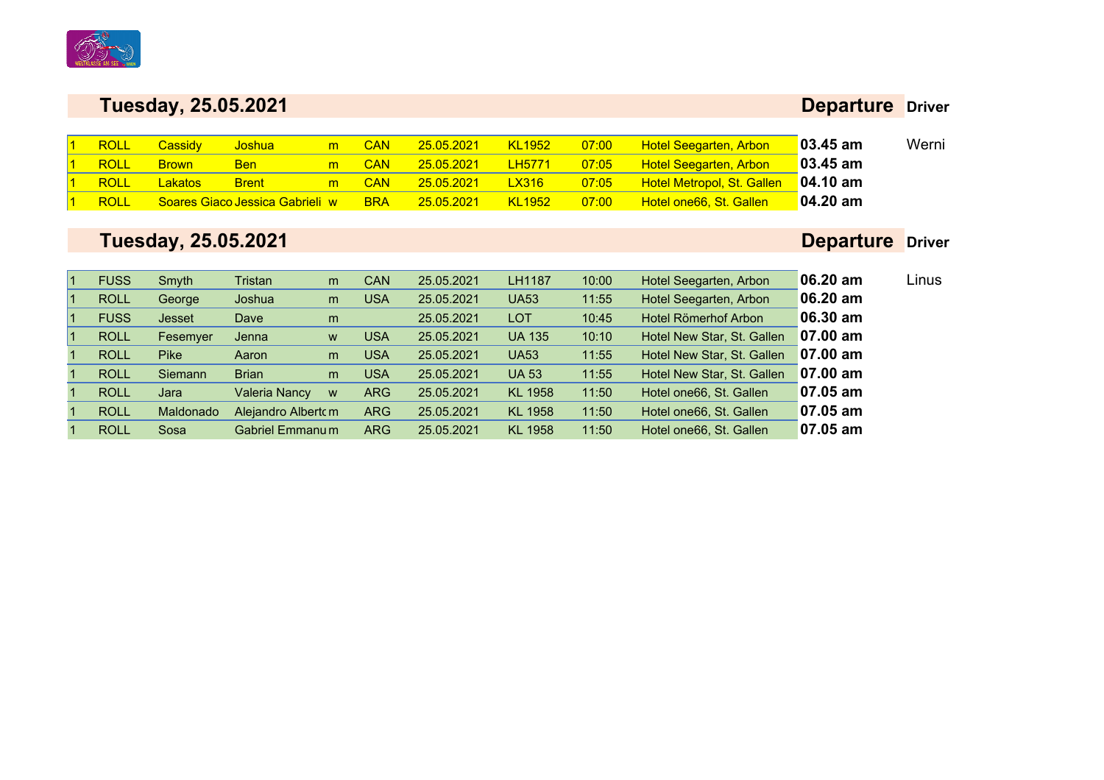

### **Departure Driver**

| ROLL | Cassidy      | <u>Joshual</u>                  | m | <b>CAN</b> | 25.05.2021 | <b>KL1952</b> | 07:00 | <b>Hotel Seegarten, Arbon</b>     | $\sqrt{03.45}$ am | Werni |
|------|--------------|---------------------------------|---|------------|------------|---------------|-------|-----------------------------------|-------------------|-------|
| ROLL | <b>Brown</b> | <b>Ben</b>                      | m | <b>CAN</b> | 25.05.2021 | <b>LH5771</b> | 07:05 | <b>Hotel Seegarten, Arbon</b>     | $03.45$ am        |       |
| ROLL | Lakatos      | <b>Brent</b>                    | m | <b>CAN</b> | 25.05.2021 | <b>LX316</b>  | 07:05 | <b>Hotel Metropol, St. Gallen</b> | $\sqrt{04.10}$ am |       |
| ROLL |              | Soares Giaco Jessica Gabrieli w |   | <b>BRA</b> | 25.05.2021 | <b>KL1952</b> | 07:00 | Hotel one66, St. Gallen           | $04.20$ am        |       |

# **Tuesday, 25.05.2021**

# **Departure Driver**

Linus

| 06.20 am<br>Hotel Seegarten, Arbon<br>11:55       |
|---------------------------------------------------|
|                                                   |
| 06.30 am<br>Hotel Römerhof Arbon<br>10:45         |
| $07.00$ am<br>Hotel New Star, St. Gallen<br>10:10 |
| $07.00$ am<br>Hotel New Star, St. Gallen<br>11:55 |
| $07.00$ am<br>Hotel New Star, St. Gallen<br>11:55 |
| $07.05$ am<br>Hotel one66, St. Gallen<br>11:50    |
| $07.05$ am<br>Hotel one66, St. Gallen<br>11:50    |
| $07.05$ am<br>Hotel one66, St. Gallen<br>11:50    |
|                                                   |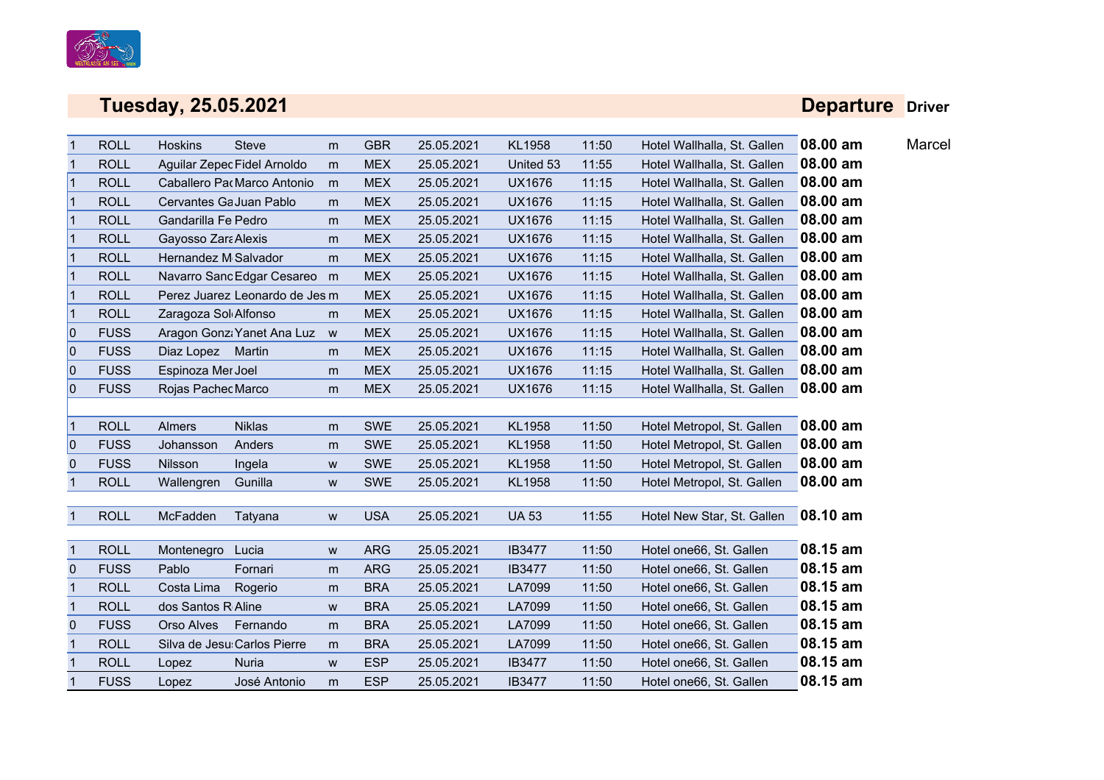

### **Departure Driver**

|              | <b>ROLL</b> | <b>Hoskins</b>          | <b>Steve</b>                   | m         | <b>GBR</b> | 25.05.2021 | KL1958        | 11:50 | Hotel Wallhalla, St. Gallen | 08.00 am | Marcel |
|--------------|-------------|-------------------------|--------------------------------|-----------|------------|------------|---------------|-------|-----------------------------|----------|--------|
|              | <b>ROLL</b> |                         | Aguilar Zepec Fidel Arnoldo    | m         | <b>MEX</b> | 25.05.2021 | United 53     | 11:55 | Hotel Wallhalla, St. Gallen | 08.00 am |        |
| $\mathbf{1}$ | <b>ROLL</b> |                         | Caballero Pa Marco Antonio     | m         | <b>MEX</b> | 25.05.2021 | <b>UX1676</b> | 11:15 | Hotel Wallhalla, St. Gallen | 08.00 am |        |
| $\mathbf{1}$ | <b>ROLL</b> | Cervantes Ga Juan Pablo |                                | m         | <b>MEX</b> | 25.05.2021 | <b>UX1676</b> | 11:15 | Hotel Wallhalla, St. Gallen | 08.00 am |        |
| $\mathbf{1}$ | <b>ROLL</b> | Gandarilla Fe Pedro     |                                | m         | <b>MEX</b> | 25.05.2021 | <b>UX1676</b> | 11:15 | Hotel Wallhalla, St. Gallen | 08.00 am |        |
| $\mathbf 1$  | <b>ROLL</b> | Gayosso Zara Alexis     |                                | m         | <b>MEX</b> | 25.05.2021 | <b>UX1676</b> | 11:15 | Hotel Wallhalla, St. Gallen | 08.00 am |        |
| $\mathbf{1}$ | <b>ROLL</b> | Hernandez M Salvador    |                                | m         | <b>MEX</b> | 25.05.2021 | <b>UX1676</b> | 11:15 | Hotel Wallhalla, St. Gallen | 08.00 am |        |
| $\mathbf 1$  | <b>ROLL</b> |                         | Navarro Sanc Edgar Cesareo m   |           | <b>MEX</b> | 25.05.2021 | <b>UX1676</b> | 11:15 | Hotel Wallhalla, St. Gallen | 08.00 am |        |
| $\mathbf{1}$ | <b>ROLL</b> |                         | Perez Juarez Leonardo de Jes m |           | <b>MEX</b> | 25.05.2021 | <b>UX1676</b> | 11:15 | Hotel Wallhalla, St. Gallen | 08.00 am |        |
| $\mathbf 1$  | <b>ROLL</b> | Zaragoza Sol Alfonso    |                                | m         | <b>MEX</b> | 25.05.2021 | UX1676        | 11:15 | Hotel Wallhalla, St. Gallen | 08.00 am |        |
| $\mathbf{0}$ | <b>FUSS</b> |                         | Aragon Gonzi Yanet Ana Luz     | W         | <b>MEX</b> | 25.05.2021 | <b>UX1676</b> | 11:15 | Hotel Wallhalla, St. Gallen | 08.00 am |        |
| 0            | <b>FUSS</b> | Diaz Lopez Martin       |                                | m         | <b>MEX</b> | 25.05.2021 | UX1676        | 11:15 | Hotel Wallhalla, St. Gallen | 08.00 am |        |
| $\mathbf{0}$ | <b>FUSS</b> | Espinoza Mer Joel       |                                | m         | <b>MEX</b> | 25.05.2021 | <b>UX1676</b> | 11:15 | Hotel Wallhalla, St. Gallen | 08.00 am |        |
| 0            | <b>FUSS</b> | Rojas Pachec Marco      |                                | m         | <b>MEX</b> | 25.05.2021 | <b>UX1676</b> | 11:15 | Hotel Wallhalla, St. Gallen | 08.00 am |        |
|              |             |                         |                                |           |            |            |               |       |                             |          |        |
| $\mathbf 1$  | <b>ROLL</b> | <b>Almers</b>           | <b>Niklas</b>                  | m         | <b>SWE</b> | 25.05.2021 | <b>KL1958</b> | 11:50 | Hotel Metropol, St. Gallen  | 08.00 am |        |
| 0            | <b>FUSS</b> | Johansson               | Anders                         | m         | <b>SWE</b> | 25.05.2021 | KL1958        | 11:50 | Hotel Metropol, St. Gallen  | 08.00 am |        |
| $\pmb{0}$    | <b>FUSS</b> | Nilsson                 | Ingela                         | ${\bf W}$ | <b>SWE</b> | 25.05.2021 | KL1958        | 11:50 | Hotel Metropol, St. Gallen  | 08.00 am |        |
| $\mathbf{1}$ | <b>ROLL</b> | Wallengren              | Gunilla                        | W         | <b>SWE</b> | 25.05.2021 | KL1958        | 11:50 | Hotel Metropol, St. Gallen  | 08.00 am |        |
|              |             |                         |                                |           |            |            |               |       |                             |          |        |
|              | <b>ROLL</b> | McFadden                | Tatyana                        | W         | <b>USA</b> | 25.05.2021 | <b>UA 53</b>  | 11:55 | Hotel New Star, St. Gallen  | 08.10 am |        |
|              |             |                         |                                |           |            |            |               |       |                             |          |        |
| $\mathbf{1}$ | <b>ROLL</b> | Montenegro              | Lucia                          | W         | <b>ARG</b> | 25.05.2021 | <b>IB3477</b> | 11:50 | Hotel one66, St. Gallen     | 08.15 am |        |
| $\mathbf 0$  | <b>FUSS</b> | Pablo                   | Fornari                        | m         | <b>ARG</b> | 25.05.2021 | <b>IB3477</b> | 11:50 | Hotel one66, St. Gallen     | 08.15 am |        |
| $\mathbf{1}$ | <b>ROLL</b> | Costa Lima              | Rogerio                        | m         | <b>BRA</b> | 25.05.2021 | LA7099        | 11:50 | Hotel one66, St. Gallen     | 08.15 am |        |
| $\mathbf{1}$ | <b>ROLL</b> | dos Santos R Aline      |                                | W         | <b>BRA</b> | 25.05.2021 | LA7099        | 11:50 | Hotel one66, St. Gallen     | 08.15 am |        |
| $\mathbf 0$  | <b>FUSS</b> | Orso Alves              | Fernando                       | m         | <b>BRA</b> | 25.05.2021 | LA7099        | 11:50 | Hotel one66, St. Gallen     | 08.15 am |        |
| $\mathbf 1$  | <b>ROLL</b> |                         | Silva de Jesu Carlos Pierre    | m         | <b>BRA</b> | 25.05.2021 | LA7099        | 11:50 | Hotel one66, St. Gallen     | 08.15 am |        |
|              | <b>ROLL</b> | Lopez                   | <b>Nuria</b>                   | W         | <b>ESP</b> | 25.05.2021 | <b>IB3477</b> | 11:50 | Hotel one66, St. Gallen     | 08.15 am |        |
|              | <b>FUSS</b> | Lopez                   | José Antonio                   | m         | <b>ESP</b> | 25.05.2021 | <b>IB3477</b> | 11:50 | Hotel one66, St. Gallen     | 08.15 am |        |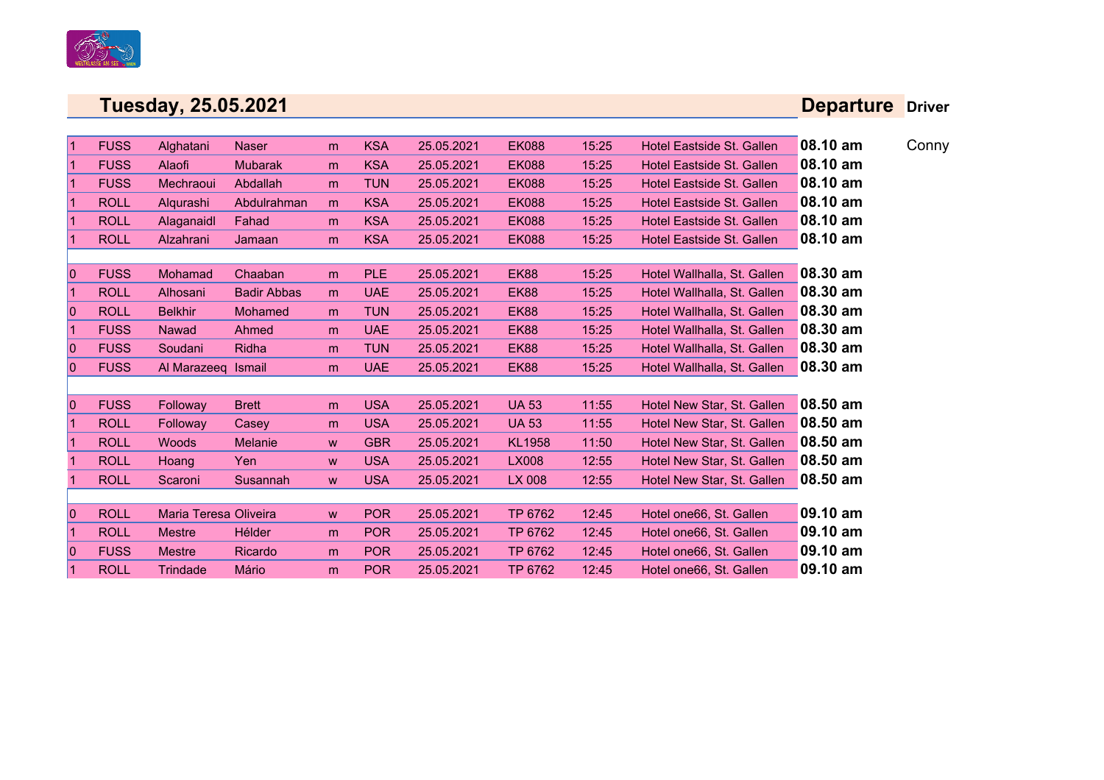

### **Departure Driver**

| 1            | <b>FUSS</b> | Alghatani             | <b>Naser</b>       | m | <b>KSA</b> | 25.05.2021 | <b>EK088</b>  | 15:25 | Hotel Eastside St. Gallen   | 08.10 am | Conny |
|--------------|-------------|-----------------------|--------------------|---|------------|------------|---------------|-------|-----------------------------|----------|-------|
|              | <b>FUSS</b> | Alaofi                | <b>Mubarak</b>     | m | <b>KSA</b> | 25.05.2021 | <b>EK088</b>  | 15:25 | Hotel Eastside St. Gallen   | 08.10 am |       |
|              | <b>FUSS</b> | Mechraoui             | Abdallah           | m | <b>TUN</b> | 25.05.2021 | <b>EK088</b>  | 15:25 | Hotel Eastside St. Gallen   | 08.10 am |       |
|              | <b>ROLL</b> | Alqurashi             | Abdulrahman        | m | <b>KSA</b> | 25.05.2021 | <b>EK088</b>  | 15:25 | Hotel Eastside St. Gallen   | 08.10 am |       |
|              | <b>ROLL</b> | Alaganaidl            | Fahad              | m | <b>KSA</b> | 25.05.2021 | <b>EK088</b>  | 15:25 | Hotel Eastside St. Gallen   | 08.10 am |       |
|              | <b>ROLL</b> | Alzahrani             | Jamaan             | m | <b>KSA</b> | 25.05.2021 | <b>EK088</b>  | 15:25 | Hotel Eastside St. Gallen   | 08.10 am |       |
|              |             |                       |                    |   |            |            |               |       |                             |          |       |
| $\Omega$     | <b>FUSS</b> | <b>Mohamad</b>        | Chaaban            | m | <b>PLE</b> | 25.05.2021 | <b>EK88</b>   | 15:25 | Hotel Wallhalla, St. Gallen | 08.30 am |       |
| 1            | <b>ROLL</b> | Alhosani              | <b>Badir Abbas</b> | m | <b>UAE</b> | 25.05.2021 | <b>EK88</b>   | 15:25 | Hotel Wallhalla, St. Gallen | 08.30 am |       |
| 0            | <b>ROLL</b> | <b>Belkhir</b>        | <b>Mohamed</b>     | m | <b>TUN</b> | 25.05.2021 | <b>EK88</b>   | 15:25 | Hotel Wallhalla, St. Gallen | 08.30 am |       |
| 1            | <b>FUSS</b> | Nawad                 | Ahmed              | m | <b>UAE</b> | 25.05.2021 | EK88          | 15:25 | Hotel Wallhalla, St. Gallen | 08.30 am |       |
| $\mathbf{0}$ | <b>FUSS</b> | Soudani               | Ridha              | m | <b>TUN</b> | 25.05.2021 | <b>EK88</b>   | 15:25 | Hotel Wallhalla, St. Gallen | 08.30 am |       |
| $\Omega$     | <b>FUSS</b> | Al Marazeeg Ismail    |                    | m | <b>UAE</b> | 25.05.2021 | <b>EK88</b>   | 15:25 | Hotel Wallhalla, St. Gallen | 08.30 am |       |
|              |             |                       |                    |   |            |            |               |       |                             |          |       |
| 0            | <b>FUSS</b> | Followay              | <b>Brett</b>       | m | <b>USA</b> | 25.05.2021 | <b>UA 53</b>  | 11:55 | Hotel New Star, St. Gallen  | 08.50 am |       |
|              | <b>ROLL</b> | Followay              | Casey              | m | <b>USA</b> | 25.05.2021 | <b>UA 53</b>  | 11:55 | Hotel New Star, St. Gallen  | 08.50 am |       |
|              | <b>ROLL</b> | <b>Woods</b>          | Melanie            | W | <b>GBR</b> | 25.05.2021 | <b>KL1958</b> | 11:50 | Hotel New Star, St. Gallen  | 08.50 am |       |
|              | <b>ROLL</b> | Hoang                 | Yen                | W | <b>USA</b> | 25.05.2021 | <b>LX008</b>  | 12:55 | Hotel New Star, St. Gallen  | 08.50 am |       |
|              | <b>ROLL</b> | Scaroni               | Susannah           | W | <b>USA</b> | 25.05.2021 | LX 008        | 12:55 | Hotel New Star, St. Gallen  | 08.50 am |       |
|              |             |                       |                    |   |            |            |               |       |                             |          |       |
| 0            | <b>ROLL</b> | Maria Teresa Oliveira |                    | W | <b>POR</b> | 25.05.2021 | TP 6762       | 12:45 | Hotel one66, St. Gallen     | 09.10 am |       |
|              | <b>ROLL</b> | <b>Mestre</b>         | Hélder             | m | <b>POR</b> | 25.05.2021 | TP 6762       | 12:45 | Hotel one66, St. Gallen     | 09.10 am |       |
| 10           | <b>FUSS</b> | <b>Mestre</b>         | Ricardo            | m | <b>POR</b> | 25.05.2021 | TP 6762       | 12:45 | Hotel one66, St. Gallen     | 09.10 am |       |
| $\mathbf{1}$ | <b>ROLL</b> | Trindade              | Mário              | m | <b>POR</b> | 25.05.2021 | TP 6762       | 12:45 | Hotel one66, St. Gallen     | 09.10 am |       |
|              |             |                       |                    |   |            |            |               |       |                             |          |       |